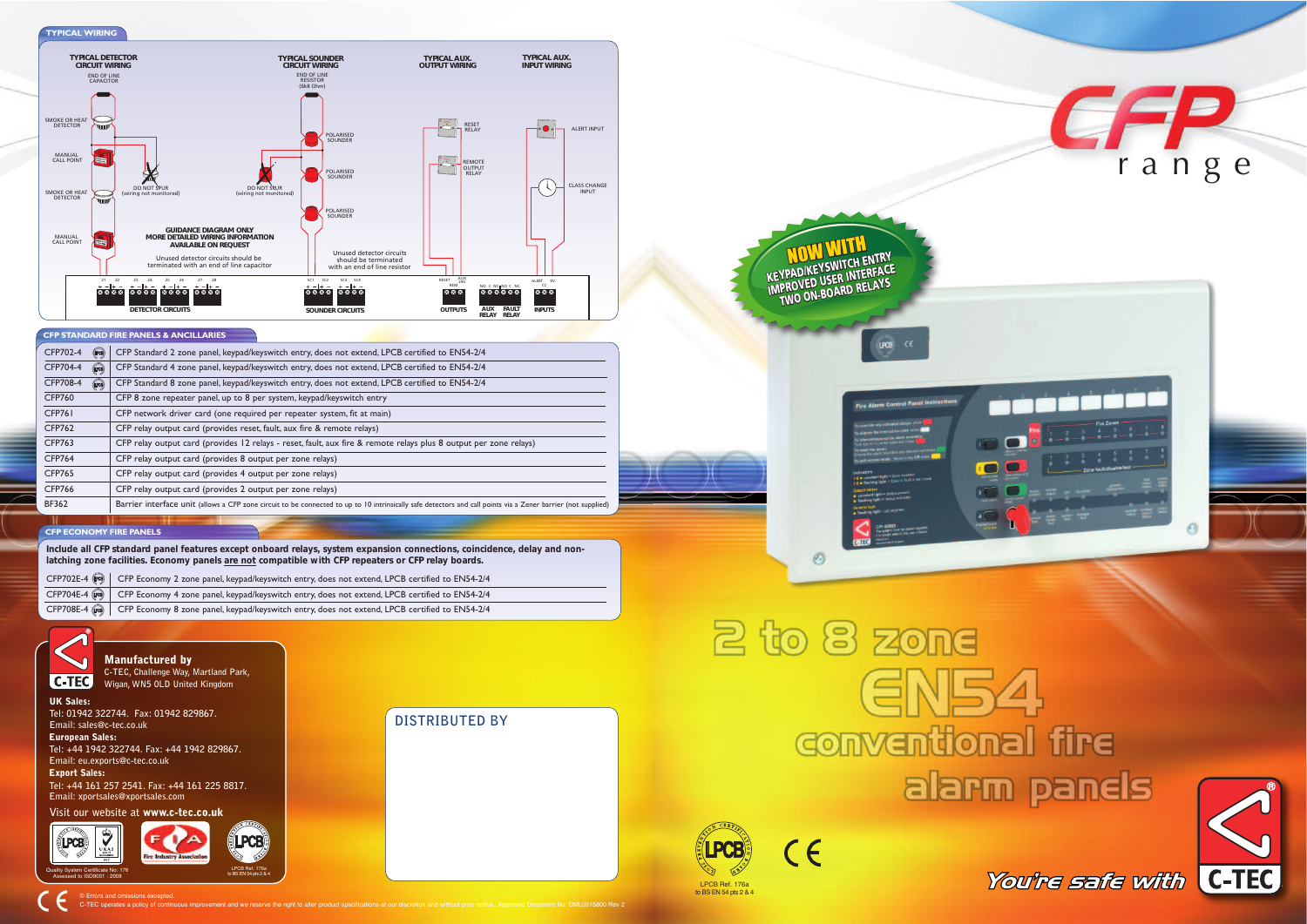

## 2 to 8 zone GN54 **Conventional fire** alarm panels





You're safe with C-TEC